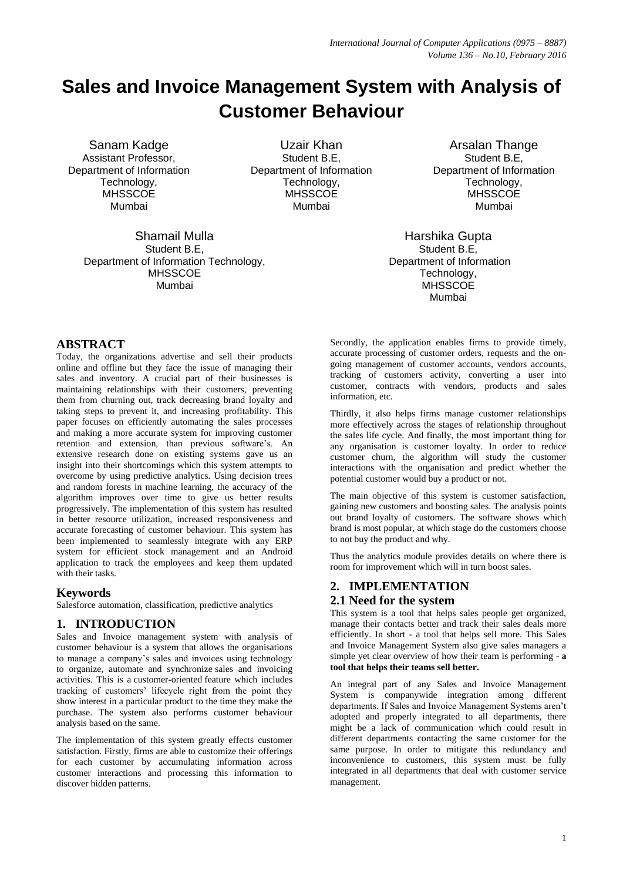# **Sales and Invoice Management System with Analysis of Customer Behaviour**

Sanam Kadge Assistant Professor, Department of Information Technology, **MHSSCOE** Mumbai

> Shamail Mulla Student B.E, Department of Information Technology, **MHSSCOE** Mumbai

Uzair Khan Student B.E, Department of Information Technology, **MHSSCOE** Mumbai

Arsalan Thange Student B.E, Department of Information Technology, **MHSSCOE** Mumbai

Harshika Gupta Student B.E, Department of Information Technology, **MHSSCOE** Mumbai

### **ABSTRACT**

Today, the organizations advertise and sell their products online and offline but they face the issue of managing their sales and inventory. A crucial part of their businesses is maintaining relationships with their customers, preventing them from churning out, track decreasing brand loyalty and taking steps to prevent it, and increasing profitability. This paper focuses on efficiently automating the sales processes and making a more accurate system for improving customer retention and extension, than previous software's. An extensive research done on existing systems gave us an insight into their shortcomings which this system attempts to overcome by using predictive analytics. Using decision trees and random forests in machine learning, the accuracy of the algorithm improves over time to give us better results progressively. The implementation of this system has resulted in better resource utilization, increased responsiveness and accurate forecasting of customer behaviour. This system has been implemented to seamlessly integrate with any ERP system for efficient stock management and an Android application to track the employees and keep them updated with their tasks.

## **Keywords**

Salesforce automation, classification, predictive analytics

## **1. INTRODUCTION**

Sales and Invoice management system with analysis of customer behaviour is a system that allows the organisations to manage a company"s sales and invoices using technology to organize, automate and synchronize sales and invoicing activities. This is a customer-oriented feature which includes tracking of customers' lifecycle right from the point they show interest in a particular product to the time they make the purchase. The system also performs customer behaviour analysis based on the same.

The implementation of this system greatly effects customer satisfaction. Firstly, firms are able to customize their offerings for each customer by accumulating information across customer interactions and processing this information to discover hidden patterns.

Secondly, the application enables firms to provide timely, accurate processing of customer orders, requests and the ongoing management of customer accounts, vendors accounts, tracking of customers activity, converting a user into customer, contracts with vendors, products and sales information, etc.

Thirdly, it also helps firms manage customer relationships more effectively across the stages of relationship throughout the sales life cycle. And finally, the most important thing for any organisation is customer loyalty. In order to reduce customer churn, the algorithm will study the customer interactions with the organisation and predict whether the potential customer would buy a product or not.

The main objective of this system is customer satisfaction, gaining new customers and boosting sales. The analysis points out brand loyalty of customers. The software shows which brand is most popular, at which stage do the customers choose to not buy the product and why.

Thus the analytics module provides details on where there is room for improvement which will in turn boost sales.

## **2. IMPLEMENTATION**

## **2.1 Need for the system**

This system is a tool that helps sales people get organized, manage their contacts better and track their sales deals more efficiently. In short - a tool that helps sell more. This Sales and Invoice Management System also give sales managers a simple yet clear overview of how their team is performing - **a tool that helps their teams sell better.**

An integral part of any Sales and Invoice Management System is companywide integration among different departments. If Sales and Invoice Management Systems aren"t adopted and properly integrated to all departments, there might be a lack of communication which could result in different departments contacting the same customer for the same purpose. In order to mitigate this redundancy and inconvenience to customers, this system must be fully integrated in all departments that deal with customer service management.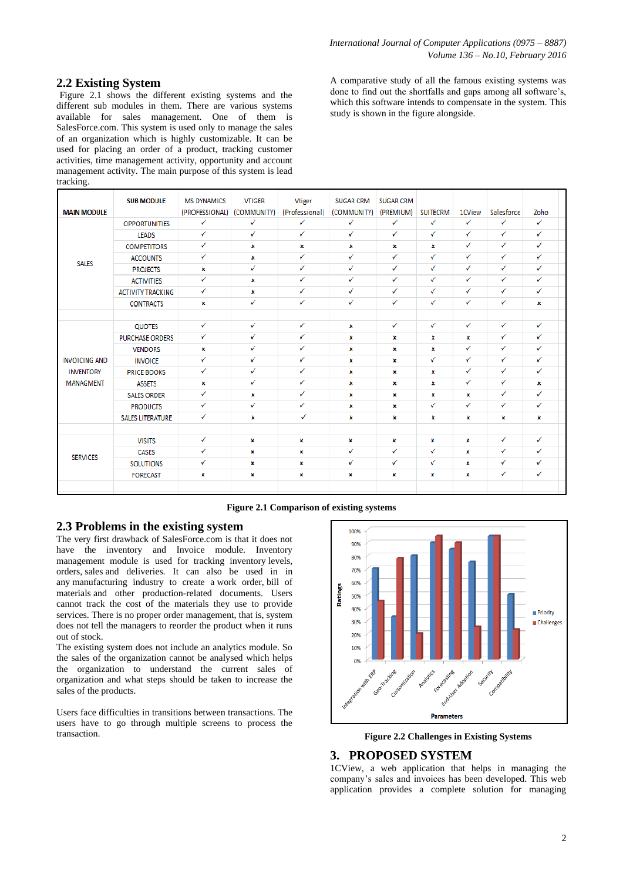## **2.2 Existing System**

Figure 2.1 shows the different existing systems and the different sub modules in them. There are various systems available for sales management. One of them is SalesForce.com. This system is used only to manage the sales of an organization which is highly customizable. It can be used for placing an order of a product, tracking customer activities, time management activity, opportunity and account management activity. The main purpose of this system is lead tracking.

A comparative study of all the famous existing systems was done to find out the shortfalls and gaps among all software"s, which this software intends to compensate in the system. This study is shown in the figure alongside.

| <b>MAIN MODULE</b>   | <b>SUB MODULE</b>        | <b>MS DYNAMICS</b><br>(PROFESSIONAL) | <b>VTIGER</b><br>(COMMUNITY) | <b>Vtiger</b><br>(Professional) | <b>SUGAR CRM</b><br>(COMMUNITY) | <b>SUGAR CRM</b><br>(PREMIUM) | <b>SUITECRM</b> | 1CView | Salesforce   | Zoho         |  |
|----------------------|--------------------------|--------------------------------------|------------------------------|---------------------------------|---------------------------------|-------------------------------|-----------------|--------|--------------|--------------|--|
|                      | <b>OPPORTUNITIES</b>     | ✓                                    | ✓                            | ✓                               | ✓                               | ✓                             | ✓               | ✓      | ✓            | $\checkmark$ |  |
|                      | <b>LEADS</b>             | ✓                                    | ✓                            | ✓                               | ✓                               | ✓                             | ✓               | ✓      | ✓            | $\checkmark$ |  |
|                      | <b>COMPETITORS</b>       | ✓                                    | х                            | ×                               | ×                               | x                             | ×               | ✓      | ✓            | $\checkmark$ |  |
| <b>SALES</b>         | <b>ACCOUNTS</b>          | ✓                                    | x                            | ✓                               | ✓                               | ✓                             | ✓               | ✓      | $\checkmark$ | $\checkmark$ |  |
|                      | <b>PROJECTS</b>          | x                                    | ✓                            | ✓                               | ✓                               | ✓                             | ✓               | ✓      | ✓            | $\checkmark$ |  |
|                      | <b>ACTIVITIES</b>        | ✓                                    | ×                            | ✓                               | ✓                               | ✓                             | ✓               | ✓      | ✓            | $\checkmark$ |  |
|                      | <b>ACTIVITY TRACKING</b> | ✓                                    | x                            | ✓                               | ✓                               | ✓                             | ✓               | ✓      | ✓            | $\checkmark$ |  |
|                      | <b>CONTRACTS</b>         | x                                    | ✓                            | ✓                               | ✓                               | ✓                             | ✓               | ✓      | ✓            | x            |  |
|                      |                          |                                      |                              |                                 |                                 |                               |                 |        |              |              |  |
|                      | <b>QUOTES</b>            | ✓                                    | ✓                            | ✓                               | ×                               | ✓                             | ✓               | ✓      | ✓            | $\checkmark$ |  |
|                      | <b>PURCHASE ORDERS</b>   | ✓                                    | ✓                            | ✓                               | ×                               | x                             | ×               | x      | ✓            | $\checkmark$ |  |
|                      | <b>VENDORS</b>           | ×                                    | ✓                            | ✓                               | ×                               | x                             | x               | ✓      | ✓            | $\checkmark$ |  |
| <b>INVOICING AND</b> | <b>INVOICE</b>           | ✓                                    | ✓                            | ✓                               | x                               | x                             | ✓               | ✓      | ✓            | $\checkmark$ |  |
| <b>INVENTORY</b>     | <b>PRICE BOOKS</b>       | ✓                                    | ✓                            | ✓                               | ×                               | x                             | ×               | ✓      | ✓            | $\checkmark$ |  |
| <b>MANAGMENT</b>     | <b>ASSETS</b>            | x                                    | ✓                            | ✓                               | ×                               | ×                             | x               | ✓      | ✓            | x            |  |
|                      | <b>SALES ORDER</b>       | ✓                                    | х                            | ✓                               | ×                               | x                             | ×               | x      | ✓            | $\checkmark$ |  |
|                      | <b>PRODUCTS</b>          | ✓                                    | ✓                            | ✓                               | ×                               | x                             | ✓               | ✓      | ✓            | $\checkmark$ |  |
|                      | <b>SALES LITERATURE</b>  | ✓                                    | x                            | ✓                               | ×                               | ×                             | ×               | x      | x            | x            |  |
|                      |                          |                                      |                              |                                 |                                 |                               |                 |        |              |              |  |
| <b>SERVICES</b>      | <b>VISITS</b>            | ✓                                    | ×                            | ×                               | ×                               | x                             | ×               | x      | ✓            | $\checkmark$ |  |
|                      | <b>CASES</b>             | ✓                                    | x                            | ×                               | ✓                               | ✓                             | ✓               | x      | ✓            | $\checkmark$ |  |
|                      | <b>SOLUTIONS</b>         | ✓                                    | x                            | x                               | ✓                               | ✓                             | ✓               | ×      | ✓            | ✓            |  |
|                      | <b>FORECAST</b>          | x                                    | x                            | x                               | x                               | ×                             | x               | x      | ✓            | $\checkmark$ |  |
|                      |                          |                                      |                              |                                 |                                 |                               |                 |        |              |              |  |

#### **Figure 2.1 Comparison of existing systems**

#### **2.3 Problems in the existing system**

The very first drawback of SalesForce.com is that it does not have the inventory and Invoice module. Inventory management module is used for tracking inventory levels, orders, sales and deliveries. It can also be used in in any manufacturing industry to create a work order, bill of materials and other production-related documents. Users cannot track the cost of the materials they use to provide services. There is no proper order management, that is, system does not tell the managers to reorder the product when it runs out of stock.

The existing system does not include an analytics module. So the sales of the organization cannot be analysed which helps the organization to understand the current sales of organization and what steps should be taken to increase the sales of the products.

Users face difficulties in transitions between transactions. The users have to go through multiple screens to process the transaction. **Figure 2.2 Challenges in Existing Systems**



## **3. PROPOSED SYSTEM**

1CView, a web application that helps in managing the company"s sales and invoices has been developed. This web application provides a complete solution for managing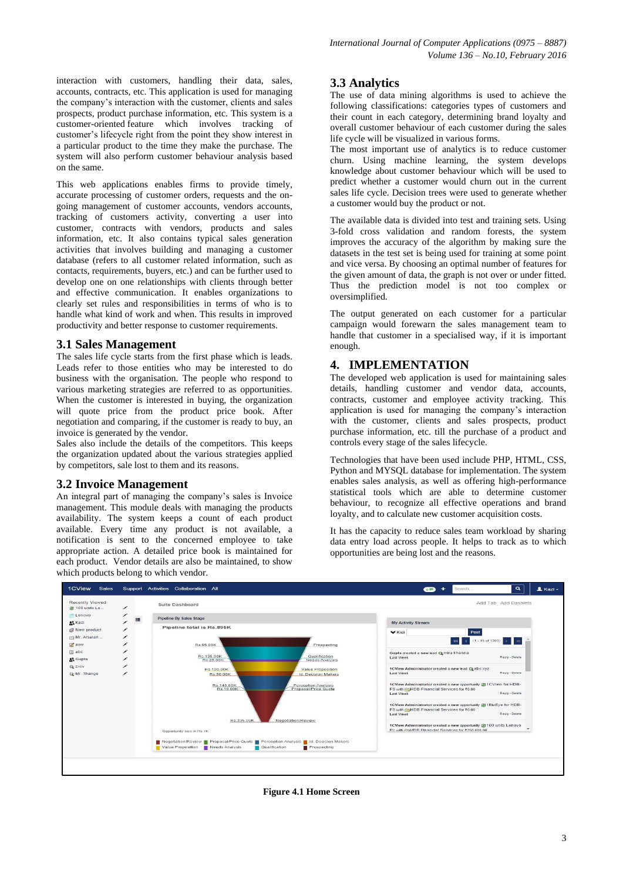interaction with customers, handling their data, sales, accounts, contracts, etc. This application is used for managing the company"s interaction with the customer, clients and sales prospects, product purchase information, etc. This system is a customer-oriented feature which involves tracking of customer"s lifecycle right from the point they show interest in a particular product to the time they make the purchase. The system will also perform customer behaviour analysis based on the same.

This web applications enables firms to provide timely, accurate processing of customer orders, requests and the ongoing management of customer accounts, vendors accounts, tracking of customers activity, converting a user into customer, contracts with vendors, products and sales information, etc. It also contains typical sales generation activities that involves building and managing a customer database (refers to all customer related information, such as contacts, requirements, buyers, etc.) and can be further used to develop one on one relationships with clients through better and effective communication. It enables organizations to clearly set rules and responsibilities in terms of who is to handle what kind of work and when. This results in improved productivity and better response to customer requirements.

#### **3.1 Sales Management**

The sales life cycle starts from the first phase which is leads. Leads refer to those entities who may be interested to do business with the organisation. The people who respond to various marketing strategies are referred to as opportunities. When the customer is interested in buying, the organization will quote price from the product price book. After negotiation and comparing, if the customer is ready to buy, an invoice is generated by the vendor.

Sales also include the details of the competitors. This keeps the organization updated about the various strategies applied by competitors, sale lost to them and its reasons.

#### **3.2 Invoice Management**

An integral part of managing the company"s sales is Invoice management. This module deals with managing the products availability. The system keeps a count of each product available. Every time any product is not available, a notification is sent to the concerned employee to take appropriate action. A detailed price book is maintained for each product. Vendor details are also be maintained, to show which products belong to which vendor.

## **3.3 Analytics**

The use of data mining algorithms is used to achieve the following classifications: categories types of customers and their count in each category, determining brand loyalty and overall customer behaviour of each customer during the sales life cycle will be visualized in various forms.

The most important use of analytics is to reduce customer churn. Using machine learning, the system develops knowledge about customer behaviour which will be used to predict whether a customer would churn out in the current sales life cycle. Decision trees were used to generate whether a customer would buy the product or not.

The available data is divided into test and training sets. Using 3-fold cross validation and random forests, the system improves the accuracy of the algorithm by making sure the datasets in the test set is being used for training at some point and vice versa. By choosing an optimal number of features for the given amount of data, the graph is not over or under fitted. Thus the prediction model is not too complex or oversimplified.

The output generated on each customer for a particular campaign would forewarn the sales management team to handle that customer in a specialised way, if it is important enough.

#### **4. IMPLEMENTATION**

The developed web application is used for maintaining sales details, handling customer and vendor data, accounts, contracts, customer and employee activity tracking. This application is used for managing the company"s interaction with the customer, clients and sales prospects, product purchase information, etc. till the purchase of a product and controls every stage of the sales lifecycle.

Technologies that have been used include PHP, HTML, CSS, Python and MYSQL database for implementation. The system enables sales analysis, as well as offering high-performance statistical tools which are able to determine customer behaviour, to recognize all effective operations and brand loyalty, and to calculate new customer acquisition costs.

It has the capacity to reduce sales team workload by sharing data entry load across people. It helps to track as to which opportunities are being lost and the reasons.



**Figure 4.1 Home Screen**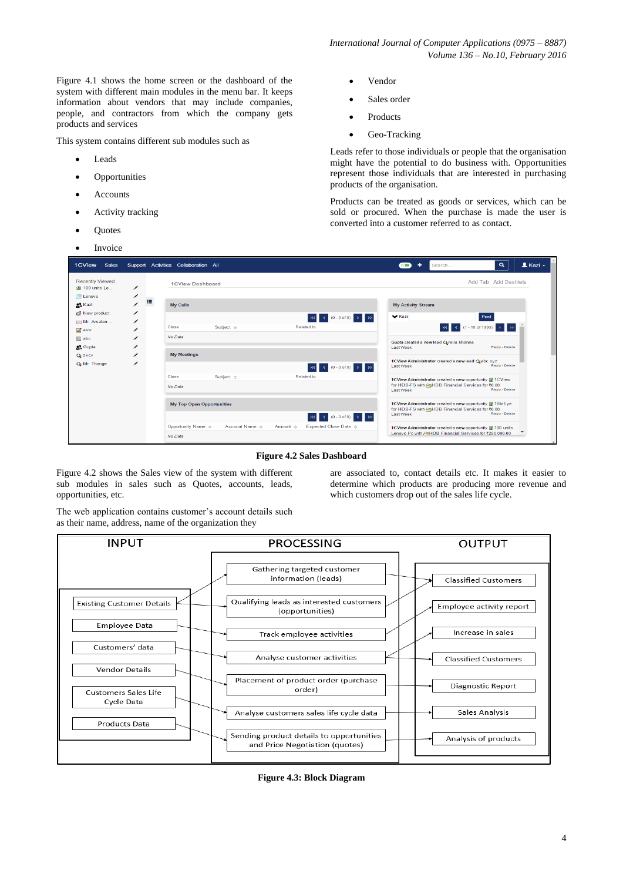Figure 4.1 shows the home screen or the dashboard of the system with different main modules in the menu bar. It keeps information about vendors that may include companies, people, and contractors from which the company gets products and services

This system contains different sub modules such as

- Leads
- Opportunities
- Accounts
- Activity tracking
- **Ouotes**
- Invoice
- Vendor
- Sales order
- Products
- Geo-Tracking

Leads refer to those individuals or people that the organisation might have the potential to do business with. Opportunities represent those individuals that are interested in purchasing products of the organisation.

Products can be treated as goods or services, which can be sold or procured. When the purchase is made the user is converted into a customer referred to as contact.

are associated to, contact details etc. It makes it easier to determine which products are producing more revenue and

which customers drop out of the sales life cycle.

| 1CView<br>Sales                      |        | Support Activities Collaboration All |                                  |                                                              | Search<br>$\sigma$                                                                                           | $\triangle$ Kazi $\sim$<br>$\alpha$ |
|--------------------------------------|--------|--------------------------------------|----------------------------------|--------------------------------------------------------------|--------------------------------------------------------------------------------------------------------------|-------------------------------------|
| <b>Recently Viewed</b>               |        |                                      | <b>1CView Dashboard</b>          |                                                              |                                                                                                              | Add Tab Add Dashlets                |
| 编 100 units Le                       | ◢<br>╱ |                                      |                                  |                                                              |                                                                                                              |                                     |
| <b>Lenovo</b><br><sup>2</sup> . Kazi |        | 疆<br><b>My Calls</b>                 |                                  |                                                              | <b>My Activity Stream</b>                                                                                    |                                     |
| New product                          | ∕      |                                      |                                  |                                                              |                                                                                                              |                                     |
| mill Mr. Arsalan                     | ╭      |                                      |                                  | Rd 4 (0-0 of 0) D RH                                         | $\vee$ Kazi<br>Post                                                                                          |                                     |
| <b>Z</b> asw                         | ◢      | Close                                | Subject $\Leftrightarrow$        | Related to                                                   | KN 4 (1-15 of 1303) D                                                                                        |                                     |
| $\equiv$ abc                         | ◢      | No Data                              |                                  |                                                              |                                                                                                              |                                     |
| <sup>o</sup> Gupta                   | ◢      |                                      |                                  |                                                              | Gupta created a new lead Cemira khanna<br><b>Last Week</b>                                                   | Reply - Delete                      |
| <b>Q: ZXCV</b>                       | ◢      | <b>My Meetings</b>                   |                                  |                                                              |                                                                                                              |                                     |
| <b>Q:</b> Mr. Thange                 | ╱      |                                      |                                  |                                                              | 1CView Administrator created a new lead @ abc xyz                                                            |                                     |
|                                      |        |                                      |                                  | 144 4 (0-0 of 0) D                                           | <b>Last Week</b>                                                                                             | Reply - Delete                      |
|                                      |        | Close                                | Subject $\triangle$              | Related to                                                   | 1CView Administrator created a new opportunity 编1CView                                                       |                                     |
|                                      |        | No Data                              |                                  |                                                              | for HDB-FS with ESHDB Financial Services for ₹0.00<br><b>Last Week</b>                                       | Reply - Delete                      |
|                                      |        |                                      | <b>My Top Open Opportunities</b> |                                                              | 1CView Administrator created a new opportunity 编1BizEye<br>for HDB-FS with AHDB Financial Services for ₹0.00 |                                     |
|                                      |        |                                      |                                  | <b>M4</b> 4 (0-0 of 0) <b>D</b> DN                           | <b>Last Week</b>                                                                                             | Reply - Delete                      |
|                                      |        | Opportunity Name $\Leftrightarrow$   | Account Name $\triangle$         | Expected Close Date $\Leftrightarrow$<br>Amount $\triangleq$ | 1CView Administrator created a new opportunity 编100 units                                                    |                                     |
|                                      |        | No Data                              |                                  |                                                              | Lenovo Pc with AlHDB Financial Services for ₹250,000,00                                                      |                                     |

**Figure 4.2 Sales Dashboard**

Figure 4.2 shows the Sales view of the system with different sub modules in sales such as Quotes, accounts, leads, opportunities, etc.

The web application contains customer's account details such as their name, address, name of the organization they



**Figure 4.3: Block Diagram**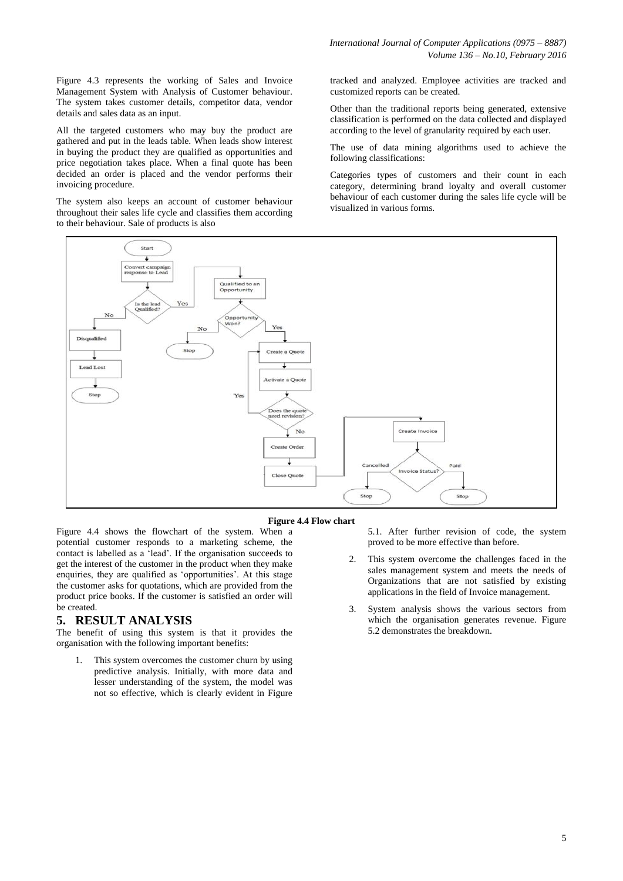*International Journal of Computer Applications (0975 – 8887) Volume 136 – No.10, February 2016*

Figure 4.3 represents the working of Sales and Invoice Management System with Analysis of Customer behaviour. The system takes customer details, competitor data, vendor details and sales data as an input.

All the targeted customers who may buy the product are gathered and put in the leads table. When leads show interest in buying the product they are qualified as opportunities and price negotiation takes place. When a final quote has been decided an order is placed and the vendor performs their invoicing procedure.

The system also keeps an account of customer behaviour throughout their sales life cycle and classifies them according to their behaviour. Sale of products is also

tracked and analyzed. Employee activities are tracked and customized reports can be created.

Other than the traditional reports being generated, extensive classification is performed on the data collected and displayed according to the level of granularity required by each user.

The use of data mining algorithms used to achieve the following classifications:

Categories types of customers and their count in each category, determining brand loyalty and overall customer behaviour of each customer during the sales life cycle will be visualized in various forms.



#### **Figure 4.4 Flow chart**

Figure 4.4 shows the flowchart of the system. When a potential customer responds to a marketing scheme, the contact is labelled as a "lead". If the organisation succeeds to get the interest of the customer in the product when they make enquiries, they are qualified as 'opportunities'. At this stage the customer asks for quotations, which are provided from the product price books. If the customer is satisfied an order will be created.

#### **5. RESULT ANALYSIS**

The benefit of using this system is that it provides the organisation with the following important benefits:

This system overcomes the customer churn by using predictive analysis. Initially, with more data and lesser understanding of the system, the model was not so effective, which is clearly evident in Figure

5.1. After further revision of code, the system proved to be more effective than before.

- 2. This system overcome the challenges faced in the sales management system and meets the needs of Organizations that are not satisfied by existing applications in the field of Invoice management.
- 3. System analysis shows the various sectors from which the organisation generates revenue. Figure 5.2 demonstrates the breakdown.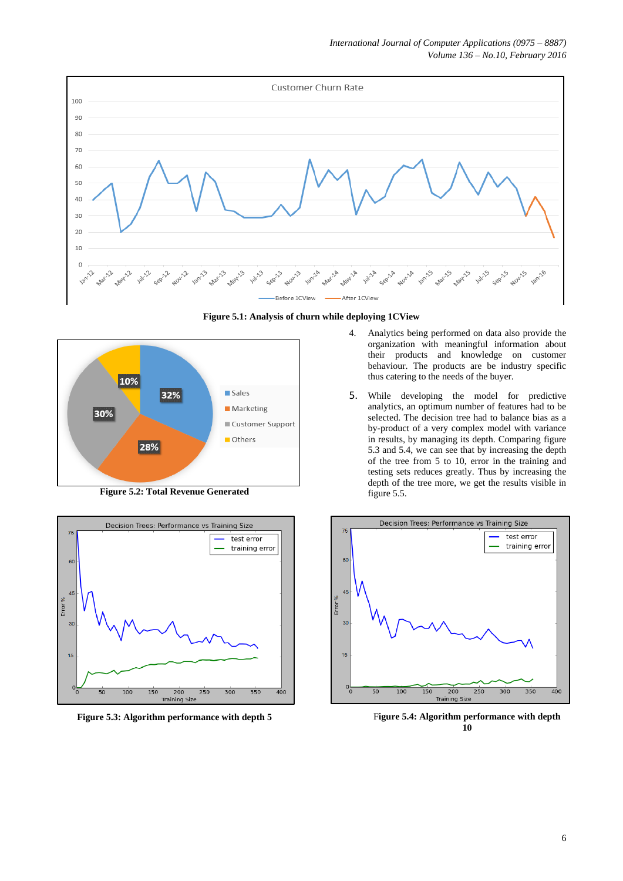

**Figure 5.1: Analysis of churn while deploying 1CView**



**Figure 5.2: Total Revenue Generated**



- 4. Analytics being performed on data also provide the organization with meaningful information about their products and knowledge on customer behaviour. The products are be industry specific thus catering to the needs of the buyer.
- 5. While developing the model for predictive analytics, an optimum number of features had to be selected. The decision tree had to balance bias as a by-product of a very complex model with variance in results, by managing its depth. Comparing figure 5.3 and 5.4, we can see that by increasing the depth of the tree from 5 to 10, error in the training and testing sets reduces greatly. Thus by increasing the depth of the tree more, we get the results visible in figure 5.5.



**Figure 5.3: Algorithm performance with depth 5** Figure 5.4: Algorithm performance with depth **Figure 5.4: Algorithm performance** with depth **10**